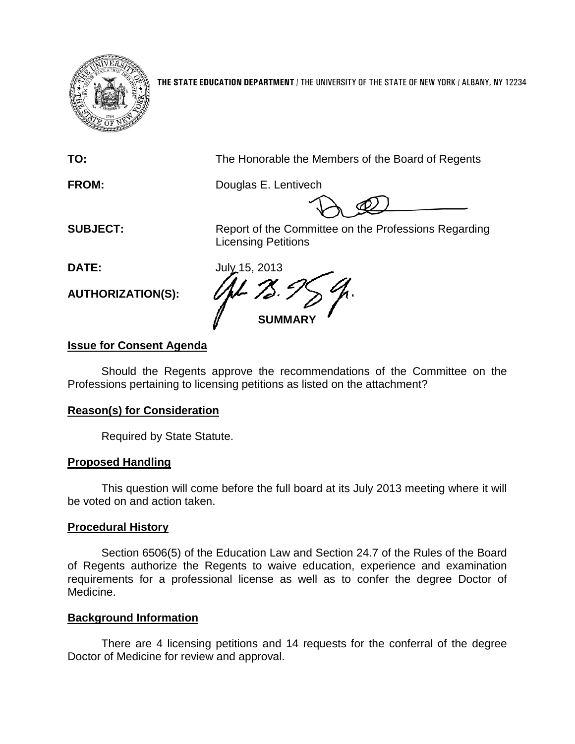

**THE STATE EDUCATION DEPARTMENT** / THE UNIVERSITY OF THE STATE OF NEW YORK / ALBANY, NY 12234

**TO:** The Honorable the Members of the Board of Regents

**FROM:** Douglas E. Lentivech

**SUBJECT:** Report of the Committee on the Professions Regarding Licensing Petitions

**AUTHORIZATION(S):**

**DATE:** July 15, 2013 **SUMMARY**

# **Issue for Consent Agenda**

Should the Regents approve the recommendations of the Committee on the Professions pertaining to licensing petitions as listed on the attachment?

# **Reason(s) for Consideration**

Required by State Statute.

# **Proposed Handling**

This question will come before the full board at its July 2013 meeting where it will be voted on and action taken.

# **Procedural History**

Section 6506(5) of the Education Law and Section 24.7 of the Rules of the Board of Regents authorize the Regents to waive education, experience and examination requirements for a professional license as well as to confer the degree Doctor of Medicine.

# **Background Information**

There are 4 licensing petitions and 14 requests for the conferral of the degree Doctor of Medicine for review and approval.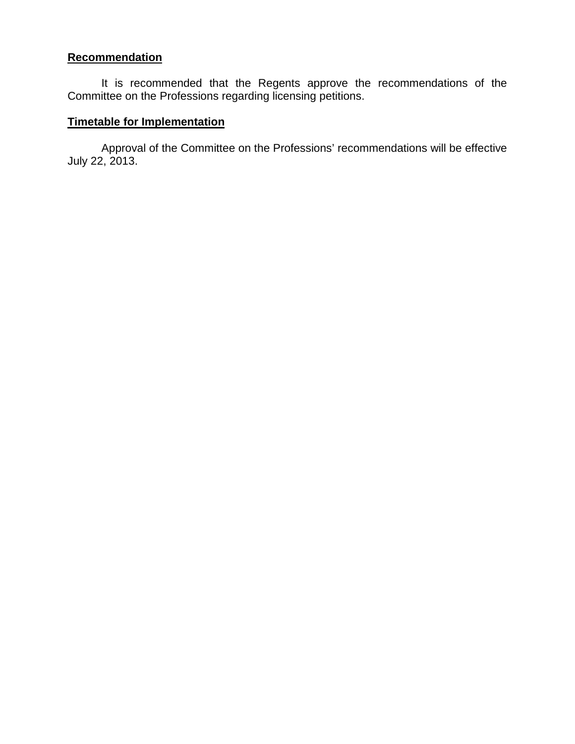# **Recommendation**

It is recommended that the Regents approve the recommendations of the Committee on the Professions regarding licensing petitions.

# **Timetable for Implementation**

Approval of the Committee on the Professions' recommendations will be effective July 22, 2013.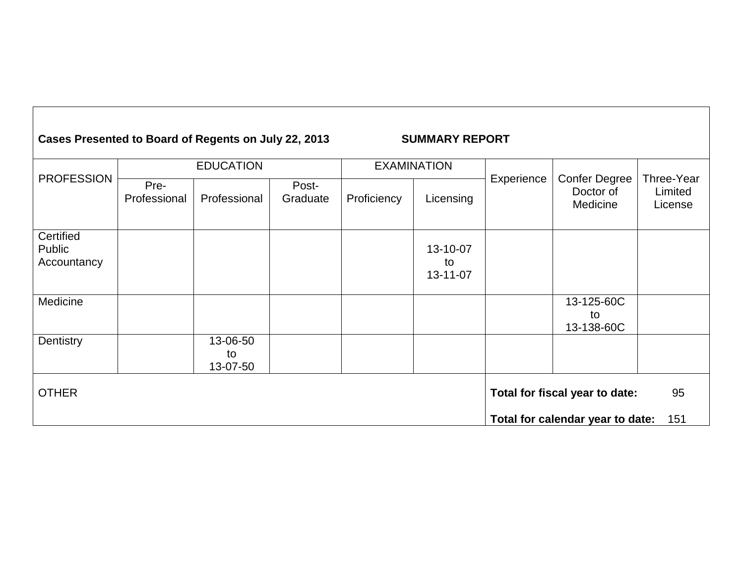#### **Cases Presented to Board of Regents on July 22, 2013 SUMMARY REPORT** PROFESSION EDUCATION EXAMINATION Experience | Confer Degree Pre-Professional | Professional Post-<br>Graduate Proficiency | Licensing Certified Public Accountancy 13-10-07 to

| Certified<br>Public<br>Accountancy |                            |  | 13-10-07<br>to<br>13-11-07 |                                  |     |
|------------------------------------|----------------------------|--|----------------------------|----------------------------------|-----|
| Medicine                           |                            |  |                            | 13-125-60C<br>to<br>13-138-60C   |     |
| Dentistry                          | 13-06-50<br>to<br>13-07-50 |  |                            |                                  |     |
| <b>OTHER</b>                       |                            |  |                            | Total for fiscal year to date:   | 95  |
|                                    |                            |  |                            | Total for calendar year to date: | 151 |

Doctor of Medicine Three-Year Limited License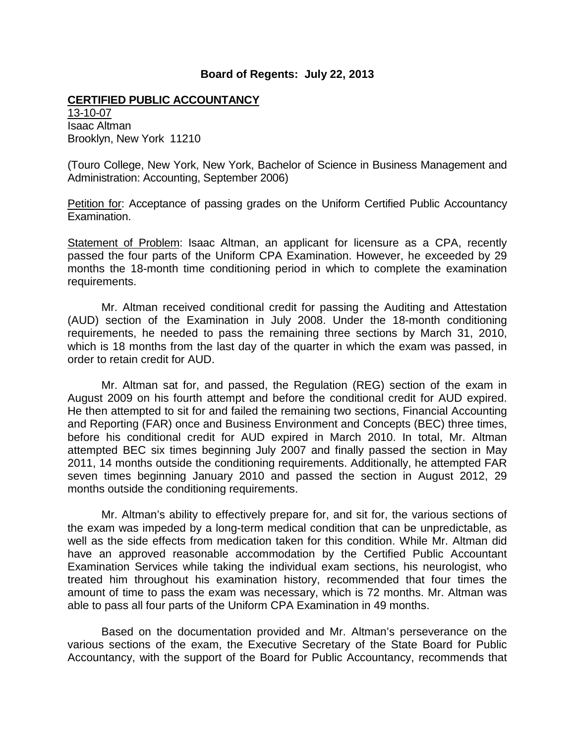#### **CERTIFIED PUBLIC ACCOUNTANCY**

13-10-07 Isaac Altman Brooklyn, New York 11210

(Touro College, New York, New York, Bachelor of Science in Business Management and Administration: Accounting, September 2006)

Petition for: Acceptance of passing grades on the Uniform Certified Public Accountancy Examination.

Statement of Problem: Isaac Altman, an applicant for licensure as a CPA, recently passed the four parts of the Uniform CPA Examination. However, he exceeded by 29 months the 18-month time conditioning period in which to complete the examination requirements.

Mr. Altman received conditional credit for passing the Auditing and Attestation (AUD) section of the Examination in July 2008. Under the 18-month conditioning requirements, he needed to pass the remaining three sections by March 31, 2010, which is 18 months from the last day of the quarter in which the exam was passed, in order to retain credit for AUD.

Mr. Altman sat for, and passed, the Regulation (REG) section of the exam in August 2009 on his fourth attempt and before the conditional credit for AUD expired. He then attempted to sit for and failed the remaining two sections, Financial Accounting and Reporting (FAR) once and Business Environment and Concepts (BEC) three times, before his conditional credit for AUD expired in March 2010. In total, Mr. Altman attempted BEC six times beginning July 2007 and finally passed the section in May 2011, 14 months outside the conditioning requirements. Additionally, he attempted FAR seven times beginning January 2010 and passed the section in August 2012, 29 months outside the conditioning requirements.

Mr. Altman's ability to effectively prepare for, and sit for, the various sections of the exam was impeded by a long-term medical condition that can be unpredictable, as well as the side effects from medication taken for this condition. While Mr. Altman did have an approved reasonable accommodation by the Certified Public Accountant Examination Services while taking the individual exam sections, his neurologist, who treated him throughout his examination history, recommended that four times the amount of time to pass the exam was necessary, which is 72 months. Mr. Altman was able to pass all four parts of the Uniform CPA Examination in 49 months.

Based on the documentation provided and Mr. Altman's perseverance on the various sections of the exam, the Executive Secretary of the State Board for Public Accountancy, with the support of the Board for Public Accountancy, recommends that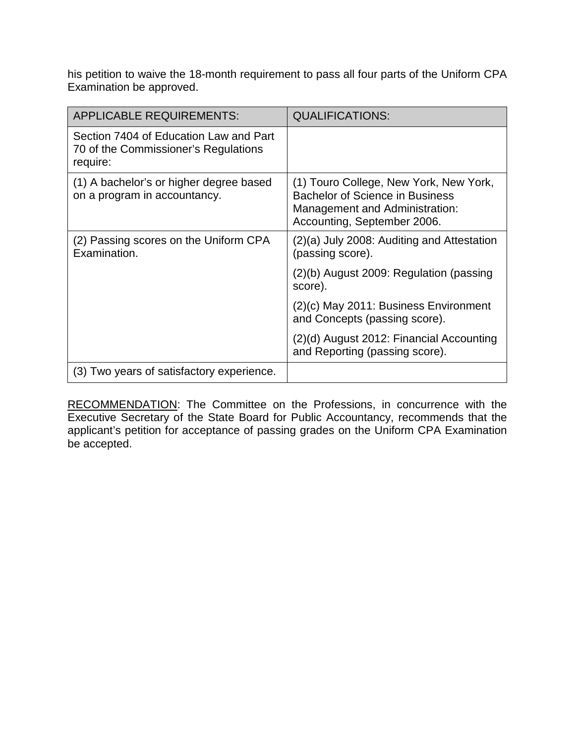his petition to waive the 18-month requirement to pass all four parts of the Uniform CPA Examination be approved.

| <b>APPLICABLE REQUIREMENTS:</b>                                                            | <b>QUALIFICATIONS:</b>                                                                                                                            |
|--------------------------------------------------------------------------------------------|---------------------------------------------------------------------------------------------------------------------------------------------------|
| Section 7404 of Education Law and Part<br>70 of the Commissioner's Regulations<br>require: |                                                                                                                                                   |
| (1) A bachelor's or higher degree based<br>on a program in accountancy.                    | (1) Touro College, New York, New York,<br><b>Bachelor of Science in Business</b><br>Management and Administration:<br>Accounting, September 2006. |
| (2) Passing scores on the Uniform CPA<br>Examination.                                      | (2)(a) July 2008: Auditing and Attestation<br>(passing score).                                                                                    |
|                                                                                            | $(2)(b)$ August 2009: Regulation (passing<br>score).                                                                                              |
|                                                                                            | (2)(c) May 2011: Business Environment<br>and Concepts (passing score).                                                                            |
|                                                                                            | (2)(d) August 2012: Financial Accounting<br>and Reporting (passing score).                                                                        |
| (3) Two years of satisfactory experience.                                                  |                                                                                                                                                   |

RECOMMENDATION: The Committee on the Professions, in concurrence with the Executive Secretary of the State Board for Public Accountancy, recommends that the applicant's petition for acceptance of passing grades on the Uniform CPA Examination be accepted.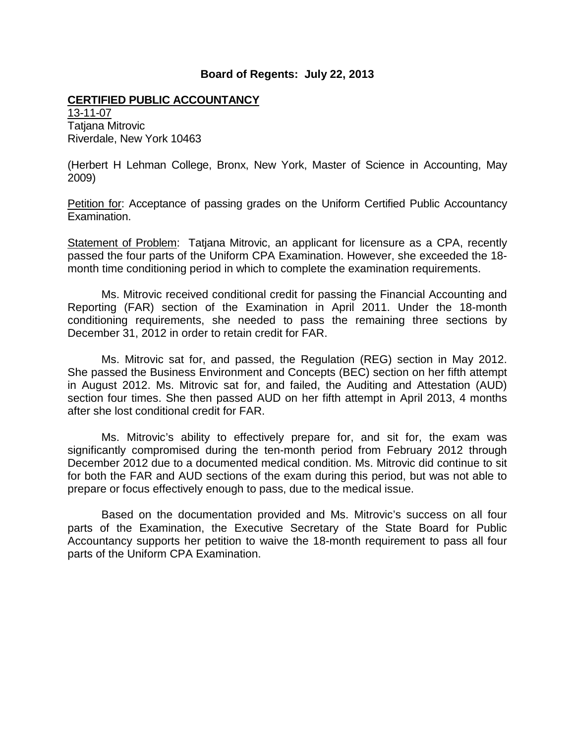### **CERTIFIED PUBLIC ACCOUNTANCY**

13-11-07 Tatjana Mitrovic Riverdale, New York 10463

(Herbert H Lehman College, Bronx, New York, Master of Science in Accounting, May 2009)

Petition for: Acceptance of passing grades on the Uniform Certified Public Accountancy Examination.

Statement of Problem: Tatjana Mitrovic, an applicant for licensure as a CPA, recently passed the four parts of the Uniform CPA Examination. However, she exceeded the 18 month time conditioning period in which to complete the examination requirements.

Ms. Mitrovic received conditional credit for passing the Financial Accounting and Reporting (FAR) section of the Examination in April 2011. Under the 18-month conditioning requirements, she needed to pass the remaining three sections by December 31, 2012 in order to retain credit for FAR.

Ms. Mitrovic sat for, and passed, the Regulation (REG) section in May 2012. She passed the Business Environment and Concepts (BEC) section on her fifth attempt in August 2012. Ms. Mitrovic sat for, and failed, the Auditing and Attestation (AUD) section four times. She then passed AUD on her fifth attempt in April 2013, 4 months after she lost conditional credit for FAR.

Ms. Mitrovic's ability to effectively prepare for, and sit for, the exam was significantly compromised during the ten-month period from February 2012 through December 2012 due to a documented medical condition. Ms. Mitrovic did continue to sit for both the FAR and AUD sections of the exam during this period, but was not able to prepare or focus effectively enough to pass, due to the medical issue.

Based on the documentation provided and Ms. Mitrovic's success on all four parts of the Examination, the Executive Secretary of the State Board for Public Accountancy supports her petition to waive the 18-month requirement to pass all four parts of the Uniform CPA Examination.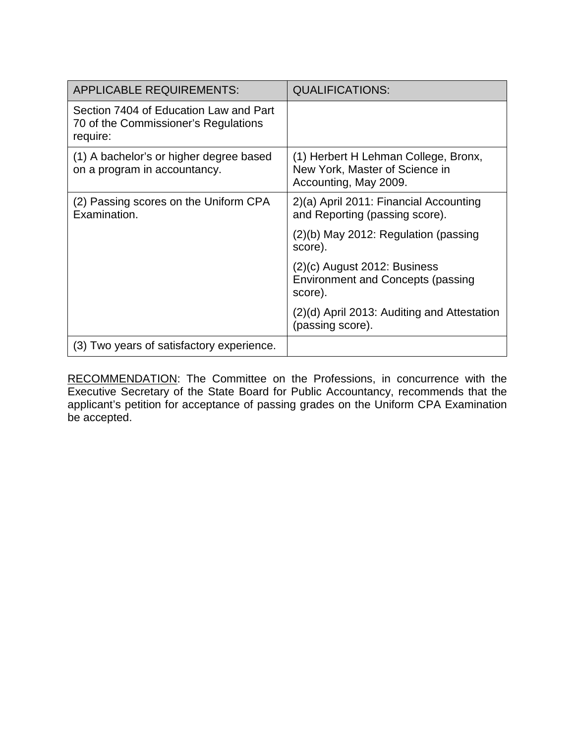| <b>APPLICABLE REQUIREMENTS:</b>                                                            | <b>QUALIFICATIONS:</b>                                                                          |
|--------------------------------------------------------------------------------------------|-------------------------------------------------------------------------------------------------|
| Section 7404 of Education Law and Part<br>70 of the Commissioner's Regulations<br>require: |                                                                                                 |
| (1) A bachelor's or higher degree based<br>on a program in accountancy.                    | (1) Herbert H Lehman College, Bronx,<br>New York, Master of Science in<br>Accounting, May 2009. |
| (2) Passing scores on the Uniform CPA<br>Examination.                                      | 2)(a) April 2011: Financial Accounting<br>and Reporting (passing score).                        |
|                                                                                            | (2)(b) May 2012: Regulation (passing<br>score).                                                 |
|                                                                                            | $(2)(c)$ August 2012: Business<br><b>Environment and Concepts (passing</b><br>score).           |
|                                                                                            | (2)(d) April 2013: Auditing and Attestation<br>(passing score).                                 |
| (3) Two years of satisfactory experience.                                                  |                                                                                                 |

RECOMMENDATION: The Committee on the Professions, in concurrence with the Executive Secretary of the State Board for Public Accountancy, recommends that the applicant's petition for acceptance of passing grades on the Uniform CPA Examination be accepted.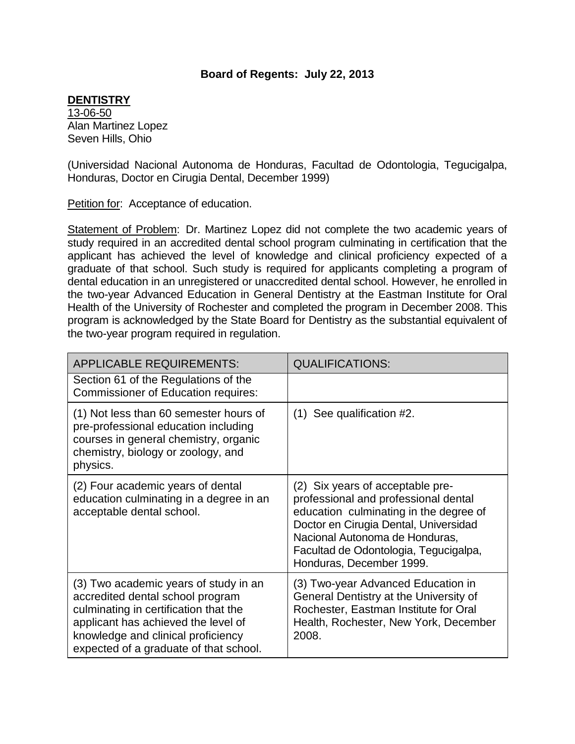## **DENTISTRY**

13-06-50 Alan Martinez Lopez Seven Hills, Ohio

(Universidad Nacional Autonoma de Honduras, Facultad de Odontologia, Tegucigalpa, Honduras, Doctor en Cirugia Dental, December 1999)

Petition for: Acceptance of education.

Statement of Problem: Dr. Martinez Lopez did not complete the two academic years of study required in an accredited dental school program culminating in certification that the applicant has achieved the level of knowledge and clinical proficiency expected of a graduate of that school. Such study is required for applicants completing a program of dental education in an unregistered or unaccredited dental school. However, he enrolled in the two-year Advanced Education in General Dentistry at the Eastman Institute for Oral Health of the University of Rochester and completed the program in December 2008. This program is acknowledged by the State Board for Dentistry as the substantial equivalent of the two-year program required in regulation.

| <b>APPLICABLE REQUIREMENTS:</b>                                                                                                                                                                                                           | <b>QUALIFICATIONS:</b>                                                                                                                                                                                                                                             |
|-------------------------------------------------------------------------------------------------------------------------------------------------------------------------------------------------------------------------------------------|--------------------------------------------------------------------------------------------------------------------------------------------------------------------------------------------------------------------------------------------------------------------|
| Section 61 of the Regulations of the<br><b>Commissioner of Education requires:</b>                                                                                                                                                        |                                                                                                                                                                                                                                                                    |
| (1) Not less than 60 semester hours of<br>pre-professional education including<br>courses in general chemistry, organic<br>chemistry, biology or zoology, and<br>physics.                                                                 | $(1)$ See qualification #2.                                                                                                                                                                                                                                        |
| (2) Four academic years of dental<br>education culminating in a degree in an<br>acceptable dental school.                                                                                                                                 | (2) Six years of acceptable pre-<br>professional and professional dental<br>education culminating in the degree of<br>Doctor en Cirugia Dental, Universidad<br>Nacional Autonoma de Honduras,<br>Facultad de Odontologia, Tegucigalpa,<br>Honduras, December 1999. |
| (3) Two academic years of study in an<br>accredited dental school program<br>culminating in certification that the<br>applicant has achieved the level of<br>knowledge and clinical proficiency<br>expected of a graduate of that school. | (3) Two-year Advanced Education in<br>General Dentistry at the University of<br>Rochester, Eastman Institute for Oral<br>Health, Rochester, New York, December<br>2008.                                                                                            |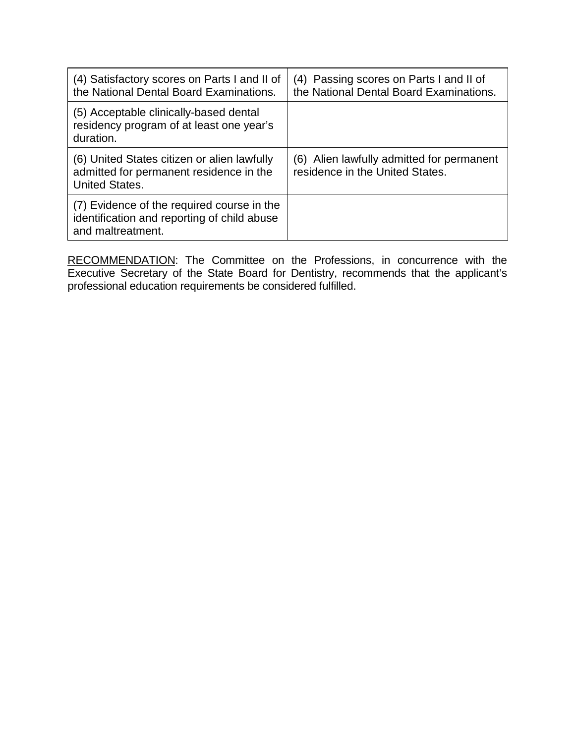| (4) Satisfactory scores on Parts I and II of<br>the National Dental Board Examinations.                         | (4) Passing scores on Parts I and II of<br>the National Dental Board Examinations. |
|-----------------------------------------------------------------------------------------------------------------|------------------------------------------------------------------------------------|
| (5) Acceptable clinically-based dental<br>residency program of at least one year's<br>duration.                 |                                                                                    |
| (6) United States citizen or alien lawfully<br>admitted for permanent residence in the<br><b>United States.</b> | (6) Alien lawfully admitted for permanent<br>residence in the United States.       |
| (7) Evidence of the required course in the<br>identification and reporting of child abuse<br>and maltreatment.  |                                                                                    |

RECOMMENDATION: The Committee on the Professions, in concurrence with the Executive Secretary of the State Board for Dentistry, recommends that the applicant's professional education requirements be considered fulfilled.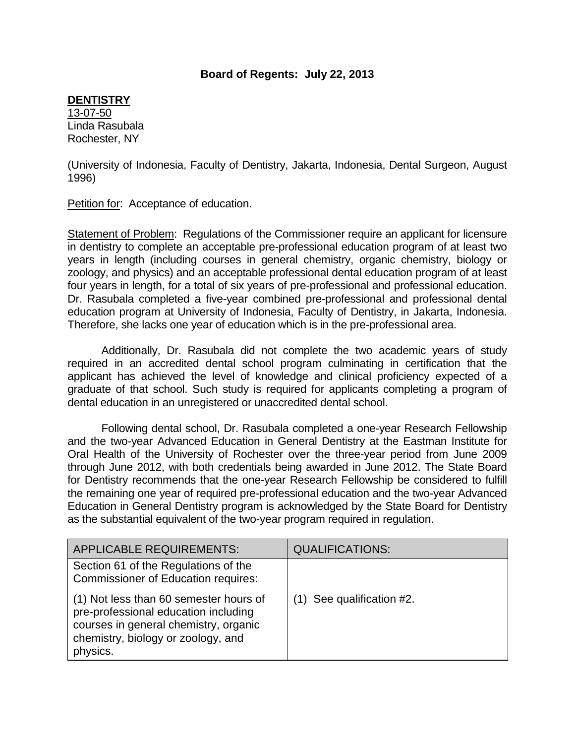### **DENTISTRY**

13-07-50 Linda Rasubala Rochester, NY

(University of Indonesia, Faculty of Dentistry, Jakarta, Indonesia, Dental Surgeon, August 1996)

Petition for: Acceptance of education.

Statement of Problem: Regulations of the Commissioner require an applicant for licensure in dentistry to complete an acceptable pre-professional education program of at least two years in length (including courses in general chemistry, organic chemistry, biology or zoology, and physics) and an acceptable professional dental education program of at least four years in length, for a total of six years of pre-professional and professional education. Dr. Rasubala completed a five-year combined pre-professional and professional dental education program at University of Indonesia, Faculty of Dentistry, in Jakarta, Indonesia. Therefore, she lacks one year of education which is in the pre-professional area.

Additionally, Dr. Rasubala did not complete the two academic years of study required in an accredited dental school program culminating in certification that the applicant has achieved the level of knowledge and clinical proficiency expected of a graduate of that school. Such study is required for applicants completing a program of dental education in an unregistered or unaccredited dental school.

Following dental school, Dr. Rasubala completed a one-year Research Fellowship and the two-year Advanced Education in General Dentistry at the Eastman Institute for Oral Health of the University of Rochester over the three-year period from June 2009 through June 2012, with both credentials being awarded in June 2012. The State Board for Dentistry recommends that the one-year Research Fellowship be considered to fulfill the remaining one year of required pre-professional education and the two-year Advanced Education in General Dentistry program is acknowledged by the State Board for Dentistry as the substantial equivalent of the two-year program required in regulation.

| <b>APPLICABLE REQUIREMENTS:</b>                                                                                                                                           | <b>QUALIFICATIONS:</b>      |
|---------------------------------------------------------------------------------------------------------------------------------------------------------------------------|-----------------------------|
| Section 61 of the Regulations of the<br><b>Commissioner of Education requires:</b>                                                                                        |                             |
| (1) Not less than 60 semester hours of<br>pre-professional education including<br>courses in general chemistry, organic<br>chemistry, biology or zoology, and<br>physics. | $(1)$ See qualification #2. |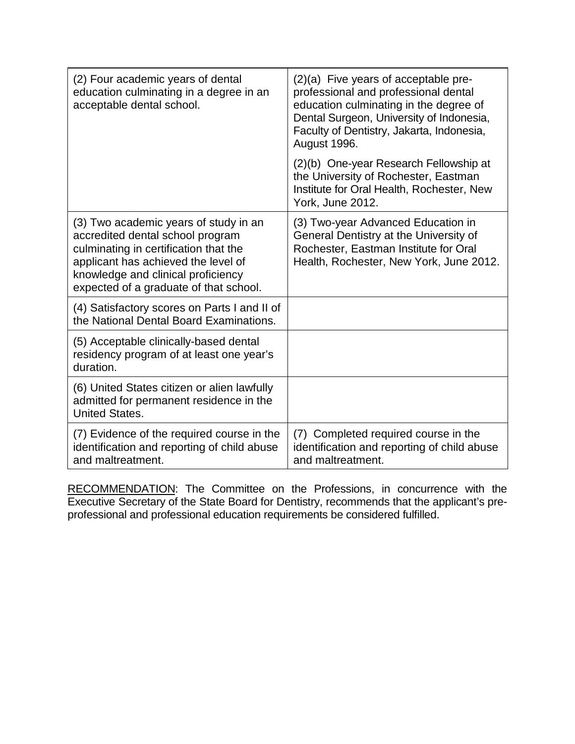| (2) Four academic years of dental<br>education culminating in a degree in an<br>acceptable dental school.                                                                                                                                 | (2)(a) Five years of acceptable pre-<br>professional and professional dental<br>education culminating in the degree of<br>Dental Surgeon, University of Indonesia,<br>Faculty of Dentistry, Jakarta, Indonesia,<br>August 1996. |
|-------------------------------------------------------------------------------------------------------------------------------------------------------------------------------------------------------------------------------------------|---------------------------------------------------------------------------------------------------------------------------------------------------------------------------------------------------------------------------------|
|                                                                                                                                                                                                                                           | (2)(b) One-year Research Fellowship at<br>the University of Rochester, Eastman<br>Institute for Oral Health, Rochester, New<br>York, June 2012.                                                                                 |
| (3) Two academic years of study in an<br>accredited dental school program<br>culminating in certification that the<br>applicant has achieved the level of<br>knowledge and clinical proficiency<br>expected of a graduate of that school. | (3) Two-year Advanced Education in<br>General Dentistry at the University of<br>Rochester, Eastman Institute for Oral<br>Health, Rochester, New York, June 2012.                                                                |
| (4) Satisfactory scores on Parts I and II of<br>the National Dental Board Examinations.                                                                                                                                                   |                                                                                                                                                                                                                                 |
| (5) Acceptable clinically-based dental<br>residency program of at least one year's<br>duration.                                                                                                                                           |                                                                                                                                                                                                                                 |
| (6) United States citizen or alien lawfully<br>admitted for permanent residence in the<br><b>United States.</b>                                                                                                                           |                                                                                                                                                                                                                                 |
| (7) Evidence of the required course in the<br>identification and reporting of child abuse<br>and maltreatment.                                                                                                                            | (7) Completed required course in the<br>identification and reporting of child abuse<br>and maltreatment.                                                                                                                        |

RECOMMENDATION: The Committee on the Professions, in concurrence with the Executive Secretary of the State Board for Dentistry, recommends that the applicant's preprofessional and professional education requirements be considered fulfilled.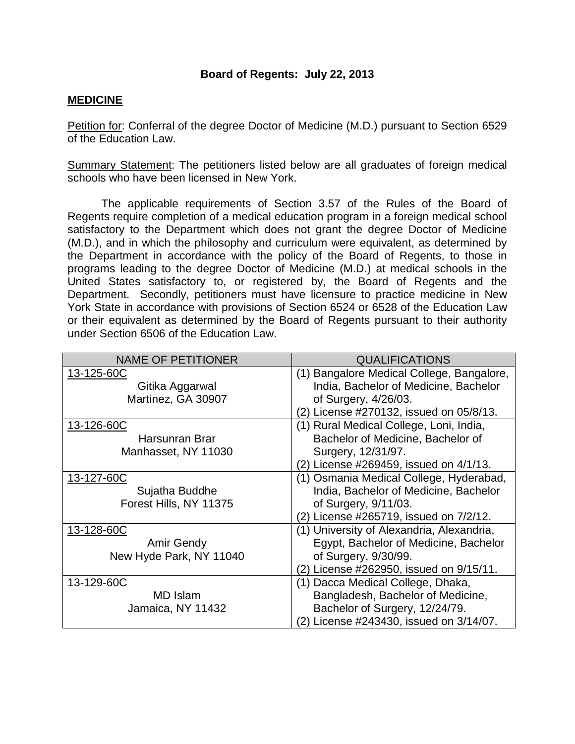## **MEDICINE**

Petition for: Conferral of the degree Doctor of Medicine (M.D.) pursuant to Section 6529 of the Education Law.

Summary Statement: The petitioners listed below are all graduates of foreign medical schools who have been licensed in New York.

The applicable requirements of Section 3.57 of the Rules of the Board of Regents require completion of a medical education program in a foreign medical school satisfactory to the Department which does not grant the degree Doctor of Medicine (M.D.), and in which the philosophy and curriculum were equivalent, as determined by the Department in accordance with the policy of the Board of Regents, to those in programs leading to the degree Doctor of Medicine (M.D.) at medical schools in the United States satisfactory to, or registered by, the Board of Regents and the Department. Secondly, petitioners must have licensure to practice medicine in New York State in accordance with provisions of Section 6524 or 6528 of the Education Law or their equivalent as determined by the Board of Regents pursuant to their authority under Section 6506 of the Education Law.

| <b>NAME OF PETITIONER</b> | <b>QUALIFICATIONS</b>                     |
|---------------------------|-------------------------------------------|
| 13-125-60C                | (1) Bangalore Medical College, Bangalore, |
| Gitika Aggarwal           | India, Bachelor of Medicine, Bachelor     |
| Martinez, GA 30907        | of Surgery, 4/26/03.                      |
|                           | (2) License #270132, issued on 05/8/13.   |
| 13-126-60C                | (1) Rural Medical College, Loni, India,   |
| Harsunran Brar            | Bachelor of Medicine, Bachelor of         |
| Manhasset, NY 11030       | Surgery, 12/31/97.                        |
|                           | (2) License #269459, issued on 4/1/13.    |
| 13-127-60C                | (1) Osmania Medical College, Hyderabad,   |
| Sujatha Buddhe            | India, Bachelor of Medicine, Bachelor     |
| Forest Hills, NY 11375    | of Surgery, $9/11/03$ .                   |
|                           | (2) License #265719, issued on 7/2/12.    |
| 13-128-60C                | (1) University of Alexandria, Alexandria, |
| <b>Amir Gendy</b>         | Egypt, Bachelor of Medicine, Bachelor     |
| New Hyde Park, NY 11040   | of Surgery, 9/30/99.                      |
|                           | (2) License #262950, issued on 9/15/11.   |
| 13-129-60C                | (1) Dacca Medical College, Dhaka,         |
| <b>MD Islam</b>           | Bangladesh, Bachelor of Medicine,         |
| Jamaica, NY 11432         | Bachelor of Surgery, 12/24/79.            |
|                           | (2) License #243430, issued on 3/14/07.   |